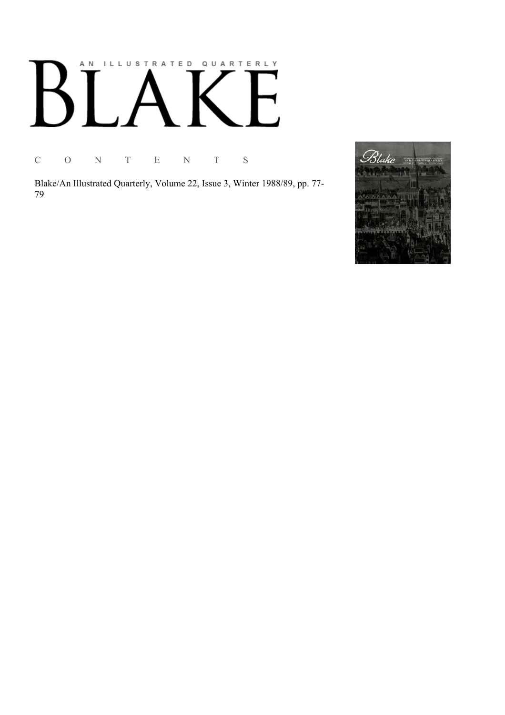# AN ILLUSTRATED QUARTERLY  $\overline{\Gamma}$  $B^{\dagger}$  $\begin{bmatrix} \end{bmatrix}$

C O N T E N T S

Blake/An Illustrated Quarterly, Volume 22, Issue 3, Winter 1988/89, pp. 77-79

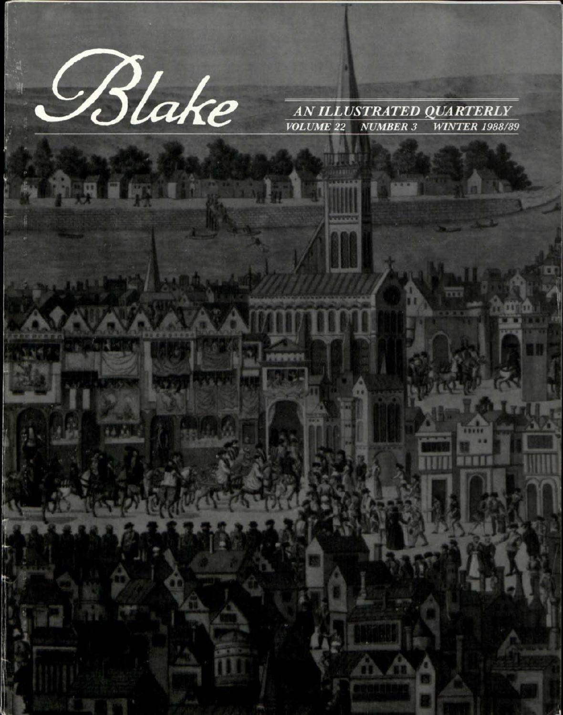

**land** 

AN ILLUSTRATED QUARTERLY **WINTER 1988/89 VOLUME 22 NUMBER 3**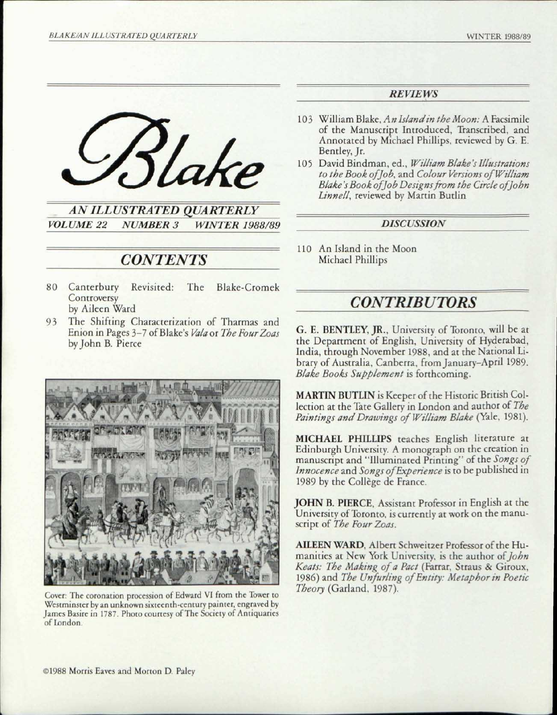

*AN ILLUSTRATED QUARTERLY VOLUME 22 NUMBER 3 WINTER 1988/89* 

## *CONTENTS*

- 80 Canterbury Revisited: The Blake-Cromek **Controversy** by Aileen Ward
- 93 The Shifting Characterization of Tharmas and Enion in Pages 3-7 of Blake's *Vala* or *The FourZoas*  by John B. Pierce



Cover: The coronation procession of Edward VI from the Tower to Westminster by an unknown sixteenth-century painter, engraved by James Basire in 1787. Photo courtesy of The Society of Antiquaries of London.

### *REVIEWS*

- 103 William Blake, *An Island in the Moon:* A Facsimile of the Manuscript Introduced, Transcribed, and Annotated by Michael Phillips, reviewed by G. E. Bentley, Jr.
- 105 David Bindman, ed., *William Blake's Illustrations to the Book of Job,* and *Colour Versions of William-Blake 's Book of job Designs from the Circle of John Linnell,* reviewed by Martin Butlin

#### *DISCUSSION*

110 An Island in the Moon Michael Phillips

## *CONTRIBUTORS*

G. E. BENTLEY, JR., University of Toronto, will be at the Department of English, University of Hyderabad, India, through November 1988, and at the National Library of Australia, Canberra, from January-April 1989. *Blake Books Supplement* is forthcoming.

MARTIN BUTLIN is Keeper of the Historic British Collection at the Tate Gallery in London and author of *The Paintings and Drawings of William Blake* (Yale, 1981).

MICHAEL PHILLIPS teaches English literature at Edinburgh University. A monograph on the creation in manuscript and "Illuminated Printing" of the *Songs of Innocence* and *Songs ofExperience* is to be published in 1989 by the Collège de France.

JOHN B. PIERCE, Assistant Professor in English at the University of Toronto, is currently at work on the manuscript of *The Four Zoas.* 

AILEEN WARD, Albert Schweitzer Professor of the Humanities at New York University, is the author *of John Keats: The Making of a Pact* (Farrar, Straus & Giroux, 1986) and *The Unfurling of Entity: Metaphor in Poetic Theory* (Garland, 1987).